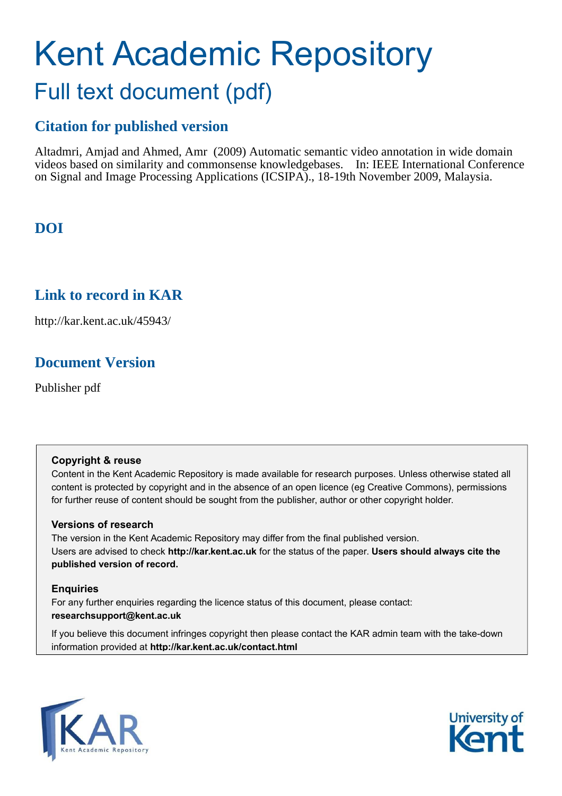# Kent Academic Repository Full text document (pdf)

## **Citation for published version**

Altadmri, Amjad and Ahmed, Amr (2009) Automatic semantic video annotation in wide domain videos based on similarity and commonsense knowledgebases. In: IEEE International Conference on Signal and Image Processing Applications (ICSIPA)., 18-19th November 2009, Malaysia.

## **DOI**

## **Link to record in KAR**

http://kar.kent.ac.uk/45943/

## **Document Version**

Publisher pdf

#### **Copyright & reuse**

Content in the Kent Academic Repository is made available for research purposes. Unless otherwise stated all content is protected by copyright and in the absence of an open licence (eg Creative Commons), permissions for further reuse of content should be sought from the publisher, author or other copyright holder.

#### **Versions of research**

The version in the Kent Academic Repository may differ from the final published version. Users are advised to check **http://kar.kent.ac.uk** for the status of the paper. **Users should always cite the published version of record.**

#### **Enquiries**

For any further enquiries regarding the licence status of this document, please contact: **researchsupport@kent.ac.uk**

If you believe this document infringes copyright then please contact the KAR admin team with the take-down information provided at **http://kar.kent.ac.uk/contact.html**



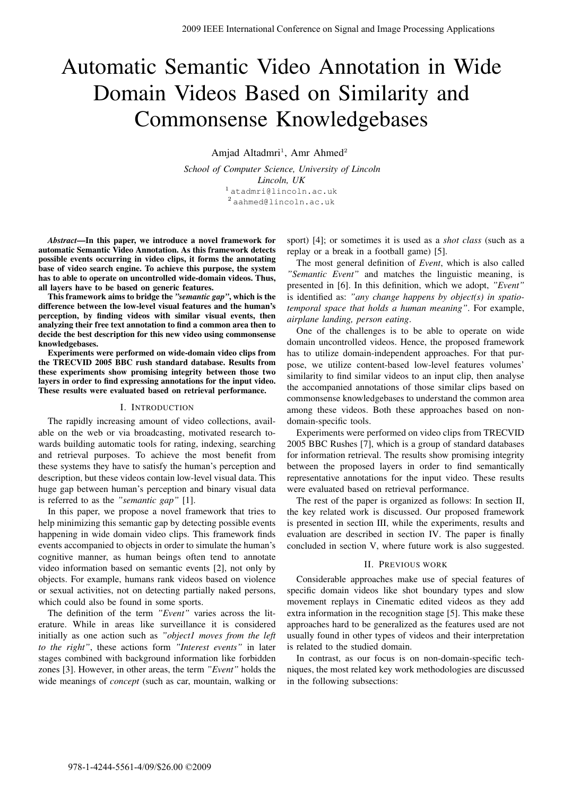## Automatic Semantic Video Annotation in Wide Domain Videos Based on Similarity and Commonsense Knowledgebases

Amjad Altadmri<sup>1</sup>, Amr Ahmed<sup>2</sup>

*School of Computer Science, University of Lincoln Lincoln, UK* <sup>1</sup> atadmri@lincoln.ac.uk <sup>2</sup> aahmed@lincoln.ac.uk

*Abstract*—In this paper, we introduce a novel framework for automatic Semantic Video Annotation. As this framework detects possible events occurring in video clips, it forms the annotating base of video search engine. To achieve this purpose, the system has to able to operate on uncontrolled wide-domain videos. Thus, all layers have to be based on generic features.

This framework aims to bridge the *"semantic gap"*, which is the difference between the low-level visual features and the human's perception, by finding videos with similar visual events, then analyzing their free text annotation to find a common area then to decide the best description for this new video using commonsense knowledgebases.

Experiments were performed on wide-domain video clips from the TRECVID 2005 BBC rush standard database. Results from these experiments show promising integrity between those two layers in order to find expressing annotations for the input video. These results were evaluated based on retrieval performance.

#### I. INTRODUCTION

The rapidly increasing amount of video collections, available on the web or via broadcasting, motivated research towards building automatic tools for rating, indexing, searching and retrieval purposes. To achieve the most benefit from these systems they have to satisfy the human's perception and description, but these videos contain low-level visual data. This huge gap between human's perception and binary visual data is referred to as the *"semantic gap"* [1].

In this paper, we propose a novel framework that tries to help minimizing this semantic gap by detecting possible events happening in wide domain video clips. This framework finds events accompanied to objects in order to simulate the human's cognitive manner, as human beings often tend to annotate video information based on semantic events [2], not only by objects. For example, humans rank videos based on violence or sexual activities, not on detecting partially naked persons, which could also be found in some sports.

The definition of the term *"Event"* varies across the literature. While in areas like surveillance it is considered initially as one action such as *"object1 moves from the left to the right"*, these actions form *"Interest events"* in later stages combined with background information like forbidden zones [3]. However, in other areas, the term *"Event"* holds the wide meanings of *concept* (such as car, mountain, walking or

sport) [4]; or sometimes it is used as a *shot class* (such as a replay or a break in a football game) [5].

The most general definition of *Event*, which is also called *"Semantic Event"* and matches the linguistic meaning, is presented in [6]. In this definition, which we adopt, *"Event"* is identified as: *"any change happens by object(s) in spatiotemporal space that holds a human meaning"*. For example, *airplane landing, person eating*.

One of the challenges is to be able to operate on wide domain uncontrolled videos. Hence, the proposed framework has to utilize domain-independent approaches. For that purpose, we utilize content-based low-level features volumes' similarity to find similar videos to an input clip, then analyse the accompanied annotations of those similar clips based on commonsense knowledgebases to understand the common area among these videos. Both these approaches based on nondomain-specific tools.

Experiments were performed on video clips from TRECVID 2005 BBC Rushes [7], which is a group of standard databases for information retrieval. The results show promising integrity between the proposed layers in order to find semantically representative annotations for the input video. These results were evaluated based on retrieval performance.

The rest of the paper is organized as follows: In section II, the key related work is discussed. Our proposed framework is presented in section III, while the experiments, results and evaluation are described in section IV. The paper is finally concluded in section V, where future work is also suggested.

#### II. PREVIOUS WORK

Considerable approaches make use of special features of specific domain videos like shot boundary types and slow movement replays in Cinematic edited videos as they add extra information in the recognition stage [5]. This make these approaches hard to be generalized as the features used are not usually found in other types of videos and their interpretation is related to the studied domain.

In contrast, as our focus is on non-domain-specific techniques, the most related key work methodologies are discussed in the following subsections: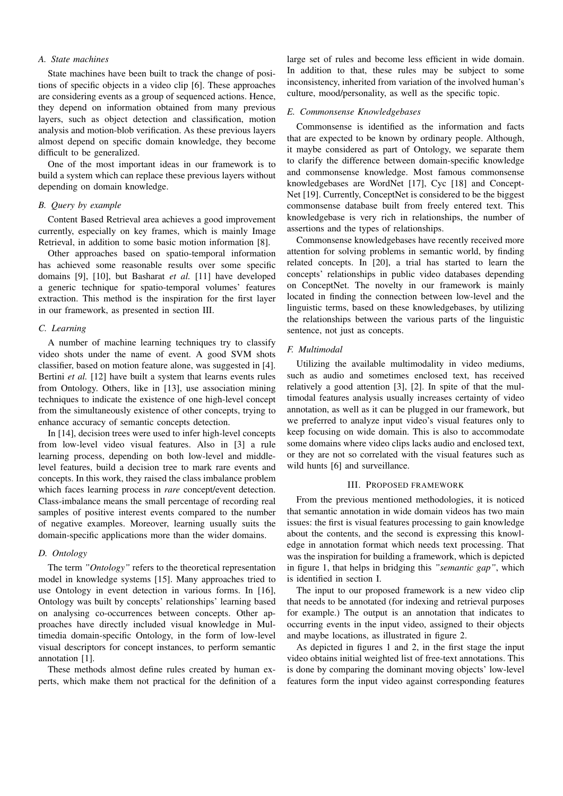#### *A. State machines*

State machines have been built to track the change of positions of specific objects in a video clip [6]. These approaches are considering events as a group of sequenced actions. Hence, they depend on information obtained from many previous layers, such as object detection and classification, motion analysis and motion-blob verification. As these previous layers almost depend on specific domain knowledge, they become difficult to be generalized.

One of the most important ideas in our framework is to build a system which can replace these previous layers without depending on domain knowledge.

#### *B. Query by example*

Content Based Retrieval area achieves a good improvement currently, especially on key frames, which is mainly Image Retrieval, in addition to some basic motion information [8].

Other approaches based on spatio-temporal information has achieved some reasonable results over some specific domains [9], [10], but Basharat *et al.* [11] have developed a generic technique for spatio-temporal volumes' features extraction. This method is the inspiration for the first layer in our framework, as presented in section III.

#### *C. Learning*

A number of machine learning techniques try to classify video shots under the name of event. A good SVM shots classifier, based on motion feature alone, was suggested in [4]. Bertini *et al.* [12] have built a system that learns events rules from Ontology. Others, like in [13], use association mining techniques to indicate the existence of one high-level concept from the simultaneously existence of other concepts, trying to enhance accuracy of semantic concepts detection.

In [14], decision trees were used to infer high-level concepts from low-level video visual features. Also in [3] a rule learning process, depending on both low-level and middlelevel features, build a decision tree to mark rare events and concepts. In this work, they raised the class imbalance problem which faces learning process in *rare* concept/event detection. Class-imbalance means the small percentage of recording real samples of positive interest events compared to the number of negative examples. Moreover, learning usually suits the domain-specific applications more than the wider domains.

#### *D. Ontology*

The term *"Ontology"* refers to the theoretical representation model in knowledge systems [15]. Many approaches tried to use Ontology in event detection in various forms. In [16], Ontology was built by concepts' relationships' learning based on analysing co-occurrences between concepts. Other approaches have directly included visual knowledge in Multimedia domain-specific Ontology, in the form of low-level visual descriptors for concept instances, to perform semantic annotation [1].

These methods almost define rules created by human experts, which make them not practical for the definition of a large set of rules and become less efficient in wide domain. In addition to that, these rules may be subject to some inconsistency, inherited from variation of the involved human's culture, mood/personality, as well as the specific topic.

#### *E. Commonsense Knowledgebases*

Commonsense is identified as the information and facts that are expected to be known by ordinary people. Although, it maybe considered as part of Ontology, we separate them to clarify the difference between domain-specific knowledge and commonsense knowledge. Most famous commonsense knowledgebases are WordNet [17], Cyc [18] and Concept-Net [19]. Currently, ConceptNet is considered to be the biggest commonsense database built from freely entered text. This knowledgebase is very rich in relationships, the number of assertions and the types of relationships.

Commonsense knowledgebases have recently received more attention for solving problems in semantic world, by finding related concepts. In [20], a trial has started to learn the concepts' relationships in public video databases depending on ConceptNet. The novelty in our framework is mainly located in finding the connection between low-level and the linguistic terms, based on these knowledgebases, by utilizing the relationships between the various parts of the linguistic sentence, not just as concepts.

#### *F. Multimodal*

Utilizing the available multimodality in video mediums, such as audio and sometimes enclosed text, has received relatively a good attention [3], [2]. In spite of that the multimodal features analysis usually increases certainty of video annotation, as well as it can be plugged in our framework, but we preferred to analyze input video's visual features only to keep focusing on wide domain. This is also to accommodate some domains where video clips lacks audio and enclosed text, or they are not so correlated with the visual features such as wild hunts [6] and surveillance.

#### III. PROPOSED FRAMEWORK

From the previous mentioned methodologies, it is noticed that semantic annotation in wide domain videos has two main issues: the first is visual features processing to gain knowledge about the contents, and the second is expressing this knowledge in annotation format which needs text processing. That was the inspiration for building a framework, which is depicted in figure 1, that helps in bridging this *"semantic gap"*, which is identified in section I.

The input to our proposed framework is a new video clip that needs to be annotated (for indexing and retrieval purposes for example.) The output is an annotation that indicates to occurring events in the input video, assigned to their objects and maybe locations, as illustrated in figure 2.

As depicted in figures 1 and 2, in the first stage the input video obtains initial weighted list of free-text annotations. This is done by comparing the dominant moving objects' low-level features form the input video against corresponding features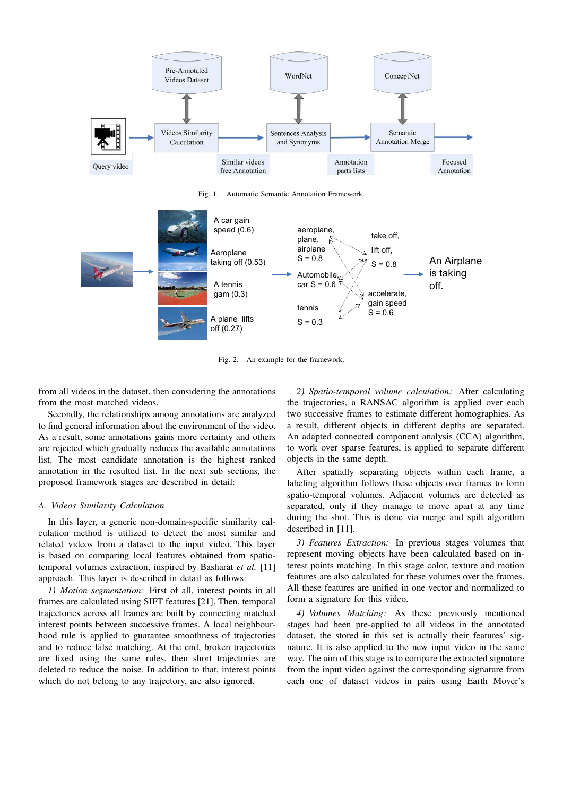

Fig. 1. Automatic Semantic Annotation Framework.



Fig. 2. An example for the framework.

from all videos in the dataset, then considering the annotations from the most matched videos.

Secondly, the relationships among annotations are analyzed to find general information about the environment of the video. As a result, some annotations gains more certainty and others are rejected which gradually reduces the available annotations list. The most candidate annotation is the highest ranked annotation in the resulted list. In the next sub sections, the proposed framework stages are described in detail:

#### *A. Videos Similarity Calculation*

In this layer, a generic non-domain-specific similarity calculation method is utilized to detect the most similar and related videos from a dataset to the input video. This layer is based on comparing local features obtained from spatiotemporal volumes extraction, inspired by Basharat *et al.* [11] approach. This layer is described in detail as follows:

*1) Motion segmentation:* First of all, interest points in all frames are calculated using SIFT features [21]. Then, temporal trajectories across all frames are built by connecting matched interest points between successive frames. A local neighbourhood rule is applied to guarantee smoothness of trajectories and to reduce false matching. At the end, broken trajectories are fixed using the same rules, then short trajectories are deleted to reduce the noise. In addition to that, interest points which do not belong to any trajectory, are also ignored.

*2) Spatio-temporal volume calculation:* After calculating the trajectories, a RANSAC algorithm is applied over each two successive frames to estimate different homographies. As a result, different objects in different depths are separated. An adapted connected component analysis (CCA) algorithm, to work over sparse features, is applied to separate different objects in the same depth.

After spatially separating objects within each frame, a labeling algorithm follows these objects over frames to form spatio-temporal volumes. Adjacent volumes are detected as separated, only if they manage to move apart at any time during the shot. This is done via merge and spilt algorithm described in [11].

*3) Features Extraction:* In previous stages volumes that represent moving objects have been calculated based on interest points matching. In this stage color, texture and motion features are also calculated for these volumes over the frames. All these features are unified in one vector and normalized to form a signature for this video.

*4) Volumes Matching:* As these previously mentioned stages had been pre-applied to all videos in the annotated dataset, the stored in this set is actually their features' signature. It is also applied to the new input video in the same way. The aim of this stage is to compare the extracted signature from the input video against the corresponding signature from each one of dataset videos in pairs using Earth Mover's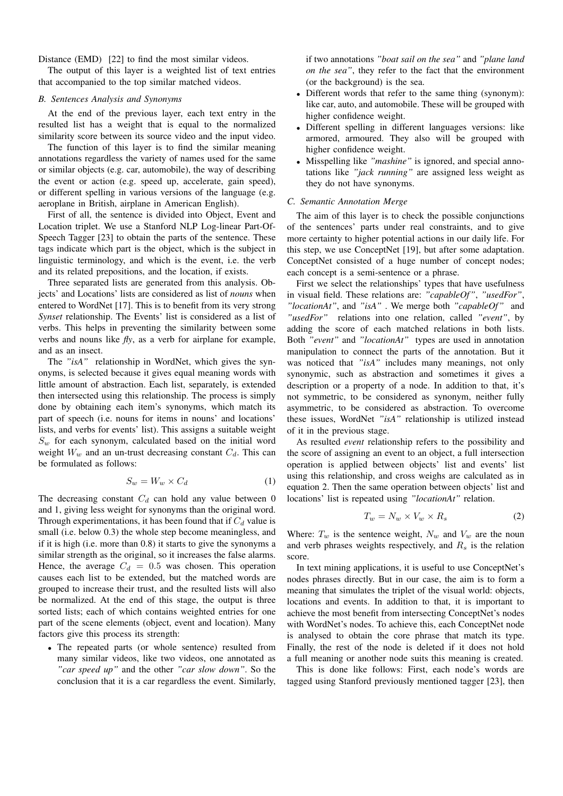Distance (EMD) [22] to find the most similar videos.

The output of this layer is a weighted list of text entries that accompanied to the top similar matched videos.

#### *B. Sentences Analysis and Synonyms*

At the end of the previous layer, each text entry in the resulted list has a weight that is equal to the normalized similarity score between its source video and the input video.

The function of this layer is to find the similar meaning annotations regardless the variety of names used for the same or similar objects (e.g. car, automobile), the way of describing the event or action (e.g. speed up, accelerate, gain speed), or different spelling in various versions of the language (e.g. aeroplane in British, airplane in American English).

First of all, the sentence is divided into Object, Event and Location triplet. We use a Stanford NLP Log-linear Part-Of-Speech Tagger [23] to obtain the parts of the sentence. These tags indicate which part is the object, which is the subject in linguistic terminology, and which is the event, i.e. the verb and its related prepositions, and the location, if exists.

Three separated lists are generated from this analysis. Objects' and Locations' lists are considered as list of *nouns* when entered to WordNet [17]. This is to benefit from its very strong *Synset* relationship. The Events' list is considered as a list of verbs. This helps in preventing the similarity between some verbs and nouns like *fly*, as a verb for airplane for example, and as an insect.

The *"isA"* relationship in WordNet, which gives the synonyms, is selected because it gives equal meaning words with little amount of abstraction. Each list, separately, is extended then intersected using this relationship. The process is simply done by obtaining each item's synonyms, which match its part of speech (i.e. nouns for items in nouns' and locations' lists, and verbs for events' list). This assigns a suitable weight  $S_w$  for each synonym, calculated based on the initial word weight  $W_w$  and an un-trust decreasing constant  $C_d$ . This can be formulated as follows:

$$
S_w = W_w \times C_d \tag{1}
$$

The decreasing constant  $C_d$  can hold any value between 0 and 1, giving less weight for synonyms than the original word. Through experimentations, it has been found that if  $C_d$  value is small (i.e. below 0.3) the whole step become meaningless, and if it is high (i.e. more than 0.8) it starts to give the synonyms a similar strength as the original, so it increases the false alarms. Hence, the average  $C_d = 0.5$  was chosen. This operation causes each list to be extended, but the matched words are grouped to increase their trust, and the resulted lists will also be normalized. At the end of this stage, the output is three sorted lists; each of which contains weighted entries for one part of the scene elements (object, event and location). Many factors give this process its strength:

• The repeated parts (or whole sentence) resulted from many similar videos, like two videos, one annotated as *"car speed up"* and the other *"car slow down"*. So the conclusion that it is a car regardless the event. Similarly, if two annotations *"boat sail on the sea"* and *"plane land on the sea"*, they refer to the fact that the environment (or the background) is the sea.

- Different words that refer to the same thing (synonym): like car, auto, and automobile. These will be grouped with higher confidence weight.
- Different spelling in different languages versions: like armored, armoured. They also will be grouped with higher confidence weight.
- Misspelling like *"mashine"* is ignored, and special annotations like *"jack running"* are assigned less weight as they do not have synonyms.

#### *C. Semantic Annotation Merge*

The aim of this layer is to check the possible conjunctions of the sentences' parts under real constraints, and to give more certainty to higher potential actions in our daily life. For this step, we use ConceptNet [19], but after some adaptation. ConceptNet consisted of a huge number of concept nodes; each concept is a semi-sentence or a phrase.

First we select the relationships' types that have usefulness in visual field. These relations are: *"capableOf"*, *"usedFor"*, *"locationAt"*, and *"isA"* . We merge both *"capableOf"* and *"usedFor"* relations into one relation, called *"event"*, by adding the score of each matched relations in both lists. Both *"event"* and *"locationAt"* types are used in annotation manipulation to connect the parts of the annotation. But it was noticed that *"isA"* includes many meanings, not only synonymic, such as abstraction and sometimes it gives a description or a property of a node. In addition to that, it's not symmetric, to be considered as synonym, neither fully asymmetric, to be considered as abstraction. To overcome these issues, WordNet *"isA"* relationship is utilized instead of it in the previous stage.

As resulted *event* relationship refers to the possibility and the score of assigning an event to an object, a full intersection operation is applied between objects' list and events' list using this relationship, and cross weighs are calculated as in equation 2. Then the same operation between objects' list and locations' list is repeated using *"locationAt"* relation.

$$
T_w = N_w \times V_w \times R_s \tag{2}
$$

Where:  $T_w$  is the sentence weight,  $N_w$  and  $V_w$  are the noun and verb phrases weights respectively, and  $R<sub>s</sub>$  is the relation score.

In text mining applications, it is useful to use ConceptNet's nodes phrases directly. But in our case, the aim is to form a meaning that simulates the triplet of the visual world: objects, locations and events. In addition to that, it is important to achieve the most benefit from intersecting ConceptNet's nodes with WordNet's nodes. To achieve this, each ConceptNet node is analysed to obtain the core phrase that match its type. Finally, the rest of the node is deleted if it does not hold a full meaning or another node suits this meaning is created.

This is done like follows: First, each node's words are tagged using Stanford previously mentioned tagger [23], then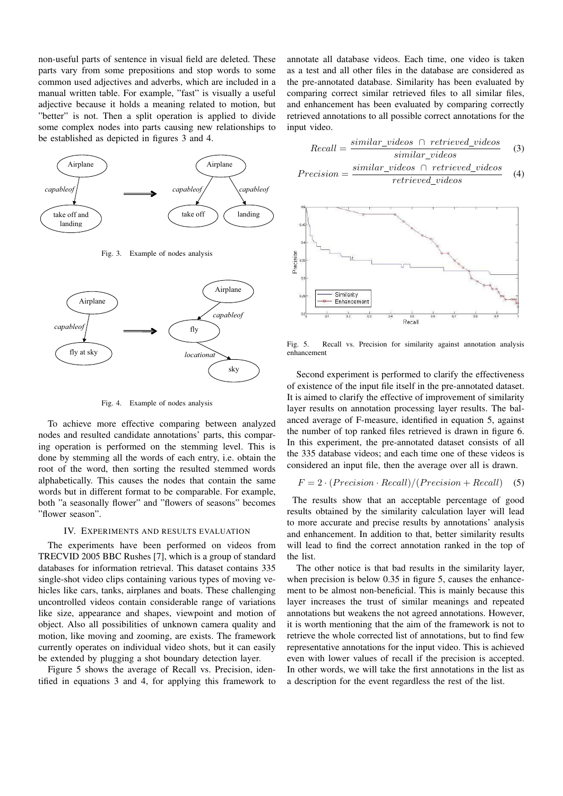non-useful parts of sentence in visual field are deleted. These parts vary from some prepositions and stop words to some common used adjectives and adverbs, which are included in a manual written table. For example, "fast" is visually a useful adjective because it holds a meaning related to motion, but "better" is not. Then a split operation is applied to divide some complex nodes into parts causing new relationships to be established as depicted in figures 3 and 4.



Fig. 3. Example of nodes analysis



Fig. 4. Example of nodes analysis

To achieve more effective comparing between analyzed nodes and resulted candidate annotations' parts, this comparing operation is performed on the stemming level. This is done by stemming all the words of each entry, i.e. obtain the root of the word, then sorting the resulted stemmed words alphabetically. This causes the nodes that contain the same words but in different format to be comparable. For example, both "a seasonally flower" and "flowers of seasons" becomes "flower season".

#### IV. EXPERIMENTS AND RESULTS EVALUATION

The experiments have been performed on videos from TRECVID 2005 BBC Rushes [7], which is a group of standard databases for information retrieval. This dataset contains 335 single-shot video clips containing various types of moving vehicles like cars, tanks, airplanes and boats. These challenging uncontrolled videos contain considerable range of variations like size, appearance and shapes, viewpoint and motion of object. Also all possibilities of unknown camera quality and motion, like moving and zooming, are exists. The framework currently operates on individual video shots, but it can easily be extended by plugging a shot boundary detection layer.

Figure 5 shows the average of Recall vs. Precision, identified in equations 3 and 4, for applying this framework to annotate all database videos. Each time, one video is taken as a test and all other files in the database are considered as the pre-annotated database. Similarity has been evaluated by comparing correct similar retrieved files to all similar files, and enhancement has been evaluated by comparing correctly retrieved annotations to all possible correct annotations for the input video.

$$
Recall = \frac{similar\_video \cap retrieved\_video}{similar\_video} \quad (3)
$$
\n
$$
Precision = \frac{similar\_video \cap retrieved\_video}{4}
$$

$$
ecision = \frac{364444 \cdot 364460 \cdot 11646 \cdot 66442 \cdot 64460}{retrieved\_video} \tag{4}
$$



Fig. 5. Recall vs. Precision for similarity against annotation analysis enhancement

Second experiment is performed to clarify the effectiveness of existence of the input file itself in the pre-annotated dataset. It is aimed to clarify the effective of improvement of similarity layer results on annotation processing layer results. The balanced average of F-measure, identified in equation 5, against the number of top ranked files retrieved is drawn in figure 6. In this experiment, the pre-annotated dataset consists of all the 335 database videos; and each time one of these videos is considered an input file, then the average over all is drawn.

$$
F = 2 \cdot (Precision \cdot Recall) / (Precision + Recall) \quad (5)
$$

The results show that an acceptable percentage of good results obtained by the similarity calculation layer will lead to more accurate and precise results by annotations' analysis and enhancement. In addition to that, better similarity results will lead to find the correct annotation ranked in the top of the list.

The other notice is that bad results in the similarity layer, when precision is below 0.35 in figure 5, causes the enhancement to be almost non-beneficial. This is mainly because this layer increases the trust of similar meanings and repeated annotations but weakens the not agreed annotations. However, it is worth mentioning that the aim of the framework is not to retrieve the whole corrected list of annotations, but to find few representative annotations for the input video. This is achieved even with lower values of recall if the precision is accepted. In other words, we will take the first annotations in the list as a description for the event regardless the rest of the list.